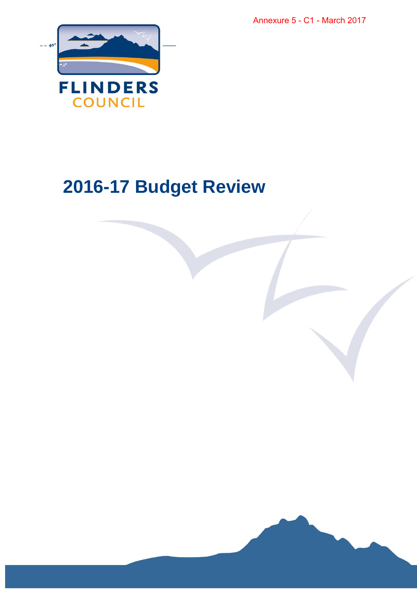Annexure 5 - C1 - March 2017



# **2016-17 Budget Review**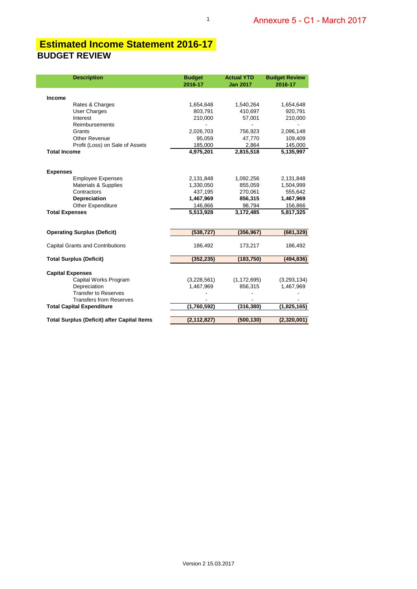### **BUDGET REVIEW Estimated Income Statement 2016-17**

| <b>Description</b>                                 | <b>Budget</b><br>2016-17 | <b>Actual YTD</b><br><b>Jan 2017</b> | <b>Budget Review</b><br>2016-17 |
|----------------------------------------------------|--------------------------|--------------------------------------|---------------------------------|
| <b>Income</b>                                      |                          |                                      |                                 |
| Rates & Charges                                    | 1,654,648                | 1,540,264                            | 1,654,648                       |
| <b>User Charges</b>                                | 803.791                  | 410,697                              | 920,791                         |
| Interest                                           | 210,000                  | 57,001                               | 210,000                         |
| Reimbursements                                     |                          |                                      |                                 |
| Grants                                             | 2,026,703                | 756,923                              | 2,096,148                       |
| <b>Other Revenue</b>                               | 95,059                   | 47,770                               | 109,409                         |
| Profit (Loss) on Sale of Assets                    | 185,000                  | 2,864                                | 145,000                         |
| <b>Total Income</b>                                | 4,975,201                | 2,815,518                            | 5,135,997                       |
| <b>Expenses</b>                                    |                          |                                      |                                 |
| <b>Employee Expenses</b>                           | 2,131,848                | 1,092,256                            | 2,131,848                       |
| <b>Materials &amp; Supplies</b>                    | 1,330,050                | 855,059                              | 1,504,999                       |
| Contractors                                        | 437,195                  | 270,061                              | 555,642                         |
| <b>Depreciation</b>                                | 1,467,969                | 856,315                              | 1,467,969                       |
| Other Expenditure                                  | 146,866                  | 98,794                               | 156,866                         |
| <b>Total Expenses</b>                              | 5,513,928                | 3,172,485                            | $\overline{5,817,325}$          |
| <b>Operating Surplus (Deficit)</b>                 | (538, 727)               | (356, 967)                           | (681, 329)                      |
| <b>Capital Grants and Contributions</b>            | 186,492                  | 173,217                              | 186,492                         |
| <b>Total Surplus (Deficit)</b>                     | (352, 235)               | (183, 750)                           | (494, 836)                      |
| <b>Capital Expenses</b>                            |                          |                                      |                                 |
| Capital Works Program                              | (3,228,561)              | (1, 172, 695)                        | (3,293,134)                     |
| Depreciation                                       | 1,467,969                | 856,315                              | 1,467,969                       |
| <b>Transfer to Reserves</b>                        |                          |                                      |                                 |
| <b>Transfers from Reserves</b>                     |                          |                                      |                                 |
| <b>Total Capital Expenditure</b>                   | (1,760,592)              | (316, 380)                           | (1,825,165)                     |
| <b>Total Surplus (Deficit) after Capital Items</b> | (2, 112, 827)            | (500, 130)                           | (2,320,001)                     |

1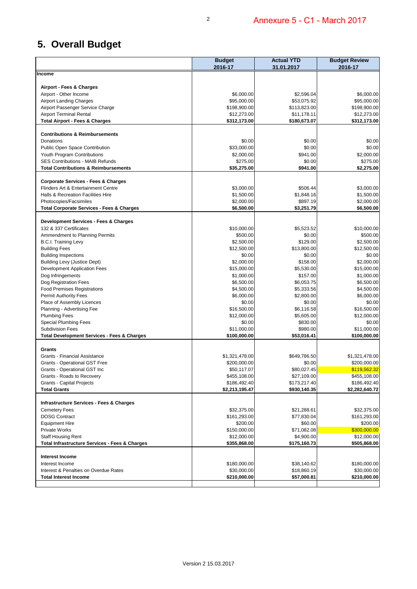# **5. Overall Budget**

|                                                           | <b>Budget</b><br>2016-17 | <b>Actual YTD</b><br>31.01.2017 | <b>Budget Review</b><br>2016-17 |
|-----------------------------------------------------------|--------------------------|---------------------------------|---------------------------------|
| Income                                                    |                          |                                 |                                 |
|                                                           |                          |                                 |                                 |
| Airport - Fees & Charges<br>Airport - Other Income        | \$6,000.00               | \$2,596.04                      | \$6,000.00                      |
| <b>Airport Landing Charges</b>                            | \$95,000.00              | \$53,075.92                     | \$95,000.00                     |
| Airport Passenger Service Charge                          | \$198,900.00             | \$113,823.00                    | \$198,900.00                    |
| <b>Airport Terminal Rental</b>                            | \$12,273.00              | \$11,178.11                     | \$12,273.00                     |
| <b>Total Airport - Fees &amp; Charges</b>                 | \$312,173.00             | \$180,673.07                    | \$312,173.00                    |
| <b>Contributions &amp; Reimbursements</b>                 |                          |                                 |                                 |
| Donations                                                 | \$0.00                   | \$0.00                          | \$0.00                          |
| Public Open Space Contribution                            | \$33,000.00              | \$0.00                          | \$0.00                          |
| Youth Program Contributions                               | \$2,000.00               | \$941.00                        | \$2,000.00                      |
| <b>SES Contributions - MAIB Refunds</b>                   | \$275.00                 | \$0.00                          | \$275.00                        |
| <b>Total Contributions &amp; Reimbursements</b>           | \$35,275.00              | \$941.00                        | \$2,275.00                      |
| <b>Corporate Services - Fees &amp; Charges</b>            |                          |                                 |                                 |
| Flinders Art & Entertainment Centre                       | \$3,000.00               | \$506.44                        | \$3,000.00                      |
| Halls & Recreation Facilities Hire                        | \$1,500.00               | \$1,848.16                      | \$1,500.00                      |
| Photocopies/Facsimiles                                    | \$2,000.00               | \$897.19                        | \$2,000.00                      |
| <b>Total Corporate Services - Fees &amp; Charges</b>      | \$6,500.00               | \$3,251.79                      | \$6,500.00                      |
| Development Services - Fees & Charges                     |                          |                                 |                                 |
| 132 & 337 Certificates                                    | \$10,000.00              | \$5,523.52                      | \$10,000.00                     |
| Ammendment to Planning Permits                            | \$500.00                 | \$0.00                          | \$500.00                        |
| <b>B.C.I. Training Levy</b>                               | \$2,500.00               | \$129.00                        | \$2,500.00                      |
| <b>Building Fees</b>                                      | \$12,500.00              | \$13,800.00                     | \$12,500.00                     |
| <b>Building Inspections</b>                               | \$0.00                   | \$0.00                          | \$0.00                          |
| <b>Building Levy (Justice Dept)</b>                       | \$2,000.00               | \$158.00                        | \$2,000.00                      |
| Development Application Fees                              | \$15,000.00              | \$5,530.00                      | \$15,000.00                     |
| Dog Infringements                                         | \$1,000.00               | \$157.00                        | \$1,000.00                      |
| Dog Registration Fees                                     | \$6,500.00               | \$6,053.75                      | \$6,500.00                      |
| <b>Food Premises Registrations</b>                        | \$4,500.00               | \$5,333.56                      | \$4,500.00                      |
| <b>Permit Authority Fees</b>                              | \$6,000.00               | \$2,800.00                      | \$6,000.00                      |
| Place of Assembly Licences                                | \$0.00                   | \$0.00                          | \$0.00                          |
| Planning - Advertising Fee                                | \$16,500.00              | \$6,116.58                      | \$16,500.00                     |
| <b>Plumbing Fees</b>                                      | \$12,000.00              | \$5,605.00                      | \$12,000.00                     |
| <b>Special Plumbing Fees</b>                              | \$0.00                   | \$830.00                        | \$0.00                          |
| <b>Subdivision Fees</b>                                   | \$11,000.00              | \$980.00                        | \$11,000.00                     |
| <b>Total Development Services - Fees &amp; Charges</b>    | \$100,000.00             | \$53,016.41                     | \$100,000.00                    |
| Grants                                                    |                          |                                 |                                 |
| Grants - Financial Assistance                             | \$1,321,478.00           | \$649,786.50                    | \$1,321,478.00                  |
| <b>Grants - Operational GST Free</b>                      | \$200,000.00             | \$0.00                          | \$200,000.00                    |
| Grants - Operational GST Inc                              | \$50,117.07              | \$80,027.45                     | \$119,562.32                    |
| Grants - Roads to Recovery                                | \$455,108.00             | \$27,109.00                     | \$455,108.00                    |
| <b>Grants - Capital Projects</b>                          | \$186,492.40             | \$173,217.40                    | \$186,492.40                    |
| <b>Total Grants</b>                                       | \$2,213,195.47           | \$930,140.35                    | \$2,282,640.72                  |
| <b>Infrastructure Services - Fees &amp; Charges</b>       |                          |                                 |                                 |
| <b>Cemetery Fees</b>                                      | \$32,375.00              | \$21,288.61                     | \$32,375.00                     |
| <b>DOSG Contract</b>                                      | \$161,293.00             | \$77,830.04                     | \$161,293.00                    |
| <b>Equipment Hire</b>                                     | \$200.00                 | \$60.00                         | \$200.00                        |
| <b>Private Works</b>                                      | \$150,000.00             | \$71,082.08                     | \$300,000.00                    |
| <b>Staff Housing Rent</b>                                 | \$12,000.00              | \$4,900.00                      | \$12,000.00                     |
| <b>Total Infrastructure Services - Fees &amp; Charges</b> | \$355,868.00             | \$175,160.73                    | \$505,868.00                    |
| <b>Interest Income</b>                                    |                          |                                 |                                 |
| Interest Income                                           | \$180,000.00             | \$38,140.62                     | \$180,000.00                    |
| Interest & Penalties on Overdue Rates                     | \$30,000.00              | \$18,860.19                     | \$30,000.00                     |
| <b>Total Interest Income</b>                              | \$210,000.00             | \$57,000.81                     | \$210,000.00                    |
|                                                           |                          |                                 |                                 |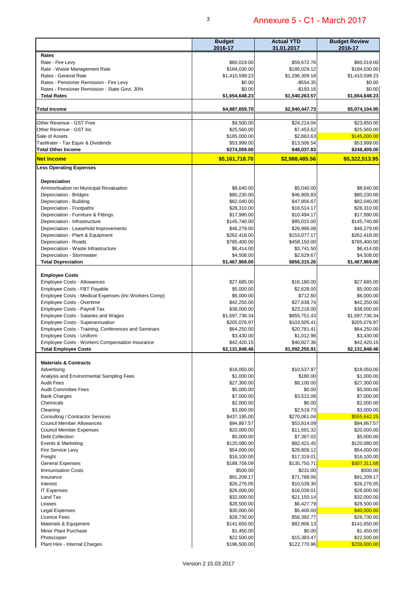|                                                        | <b>Budget</b><br>2016-17 | <b>Actual YTD</b><br>31.01.2017 | <b>Budget Review</b><br>2016-17 |
|--------------------------------------------------------|--------------------------|---------------------------------|---------------------------------|
| Rates                                                  |                          |                                 |                                 |
| Rate - Fire Levy                                       | \$60,019.00              | \$59,672.78                     | \$60,019.00                     |
| Rate - Waste Management Rate                           | \$184,030.00             | \$185,029.12                    | \$184,030.00                    |
| Rates - General Rate                                   | \$1,410,599.23           | \$1,296,309.18                  | \$1,410,599.23                  |
| Rates - Pensioner Remission - Fire Levy                | \$0.00                   | $-$554.35$                      | \$0.00                          |
| Rates - Pensioner Remission - State Govt. 30%          | \$0.00                   | $-$193.16$                      | \$0.00                          |
| <b>Total Rates</b>                                     | \$1,654,648.23           | \$1,540,263.57                  | \$1,654,648.23                  |
| <b>Total Income</b>                                    | \$4,887,659.70           | \$2,940,447.73                  | \$5,074,104.95                  |
| Other Revenue - GST Free                               | \$9,500.00               | \$24,214.04                     | \$23,850.00                     |
| Other Revenue - GST Inc                                | \$25,560.00              | \$7,453.62                      | \$25,560.00                     |
| Sale of Assets                                         | \$185,000.00             | \$2,863.63                      | \$145,000.00                    |
| TasWater - Tax Equiv & Dividends                       | \$53,999.00              | \$13,506.54                     | \$53,999.00                     |
| <b>Total Other Income</b>                              | \$274,059.00             | \$48,037.83                     | \$248,409.00                    |
| <b>Net Income</b>                                      | \$5,161,718.70           | \$2,988,485.56                  | \$5,322,513.95                  |
| <b>Less Operating Expenses</b>                         |                          |                                 |                                 |
|                                                        |                          |                                 |                                 |
| Depreciation<br>Ammortisation on Municipal Revaluation | \$8,640.00               | \$5.040.00                      | \$8,640.00                      |
| Depreciation - Bridges                                 | \$80,230.00              | \$46,800.83                     | \$80,230.00                     |
| Depreciation - Building                                | \$82,040.00              | \$47,856.67                     | \$82,040.00                     |
| Depreciation - Footpaths                               | \$28,310.00              | \$16,514.17                     | \$28,310.00                     |
| Depreciation - Furniture & Fittings                    | \$17,990.00              | \$10,494.17                     | \$17,990.00                     |
|                                                        | \$145,740.00             |                                 | \$145,740.00                    |
| Depreciation - Infrastructure                          | \$46,279.00              | \$85,015.00<br>\$26,996.08      |                                 |
| Depreciation - Leasehold Improvements                  |                          |                                 | \$46,279.00                     |
| Depreciation - Plant & Equipment                       | \$262,418.00             | \$153,077.17                    | \$262,418.00                    |
| Depreciation - Roads                                   | \$785,400.00             | \$458,150.00                    | \$785,400.00                    |
| Depreciation - Waste Infrastructure                    | \$6,414.00               | \$3,741.50                      | \$6,414.00                      |
| Depreciation - Stormwater                              | \$4,508.00               | \$2,629.67                      | \$4,508.00                      |
| <b>Total Depreciation</b>                              | \$1,467,969.00           | \$856,315.26                    | \$1,467,969.00                  |
| <b>Employee Costs</b>                                  |                          |                                 |                                 |
| <b>Employee Costs - Allowances</b>                     | \$27,685.00              | \$16,180.00                     | \$27,685.00                     |
| Employee Costs - FBT Payable                           | \$5,000.00               | \$2,628.00                      | \$5,000.00                      |
| Employee Costs - Medical Expenses (Inc Workers Comp)   | \$6,000.00               | \$712.60                        | \$6,000.00                      |
| Employee Costs - Overtime                              | \$42,250.00              | \$27,638.74                     | \$42,250.00                     |
| Employee Costs - Payroll Tax                           | \$38,000.00              | \$23,218.00                     | \$38,000.00                     |
| <b>Employee Costs - Salaries and Wages</b>             | \$1,697,736.34           | \$855,751.43                    | \$1,697,736.34                  |
| <b>Employee Costs - Superannuation</b>                 | \$205,076.97             | \$103,505.41                    | \$205,076.97                    |
| Employee Costs - Training, Conferences and Seminars    | \$64,250.00              | \$20,781.41                     | \$64,250.00                     |
| Employee Costs - Uniform                               | \$3,430.00               | \$1,012.96                      | \$3,430.00                      |
| Employee Costs - Workers Compensation Insurance        | \$42,420.15              | \$40,827.36                     | \$42,420.15                     |
| <b>Total Employee Costs</b>                            | \$2.131.848.46           | \$1.092.255.91                  | \$2.131.848.46                  |
| <b>Materials &amp; Contracts</b>                       |                          |                                 |                                 |
| Advertising                                            | \$18,050.00              | \$10,537.97                     | \$18,050.00                     |
| Analysis and Environmental Sampling Fees               | \$1,000.00               | \$180.00                        | \$1,000.00                      |
| <b>Audit Fees</b>                                      | \$27,300.00              | \$8,100.00                      | \$27,300.00                     |
| <b>Audit Committee Fees</b>                            | \$5,000.00               | \$0.00                          | \$5,000.00                      |
| <b>Bank Charges</b>                                    | \$7,000.00               | \$3,522.06                      | \$7,000.00                      |
| Chemicals                                              | \$2,000.00               | \$0.00                          | \$2,000.00                      |
| Cleaning                                               | \$3,000.00               | \$2,519.73                      | \$3,000.00                      |
| Consulting / Contractor Services                       | \$437,195.00             | \$270,061.04                    | \$555,642.25                    |
| <b>Council Member Allowances</b>                       | \$94,867.57              | \$53,814.09                     | \$94,867.57                     |
| <b>Council Member Expenses</b>                         | \$20,000.00              | \$11,691.32                     | \$20,000.00                     |
| <b>Debt Collection</b>                                 | \$5,000.00               | \$7,367.02                      | \$5,000.00                      |
| Events & Marketing                                     | \$120,080.00             | \$82,421.45                     | \$120,080.00                    |
| Fire Service Levy                                      | \$54,000.00              | \$28,809.12                     | \$54,000.00                     |
| Freight                                                | \$16,100.00              | \$17,319.01                     | \$16,100.00                     |
| <b>General Expenses</b>                                | \$188,758.09             | \$135,750.71                    | \$307,311.68                    |
| <b>Immunisation Costs</b>                              | \$500.00                 | \$231.00                        | \$500.00                        |
| Insurance                                              | \$91,209.17              | \$71,788.06                     | \$91,209.17                     |
| Interest                                               | \$26,276.05              | \$10,539.30                     | \$26,276.05                     |
| <b>IT Expenses</b>                                     | \$26,000.00              | \$16,039.01                     | \$26,000.00                     |
| Land Tax                                               | \$32,000.00              | \$21,150.14                     | \$32,000.00                     |
| Leases                                                 | \$28,500.00              | \$6,427.79                      | \$28,500.00                     |
| Legal Expenses                                         | \$30,000.00              | \$5,400.00                      | \$40,000.00                     |
| Licence Fees                                           | \$28,730.00              | \$56,392.77                     | \$28,730.00                     |
| Materials & Equipment                                  | \$141,650.00             | \$82,806.13                     | \$141,650.00                    |
| Minor Plant Purchase                                   | \$1,450.00               | \$0.00                          | \$1,450.00                      |
| Photocopier                                            | \$22,500.00              | \$15,383.47                     | \$22,500.00                     |
| Plant Hire - Internal Charges                          | \$196,500.00             | \$122,770.96                    | \$239,000.00                    |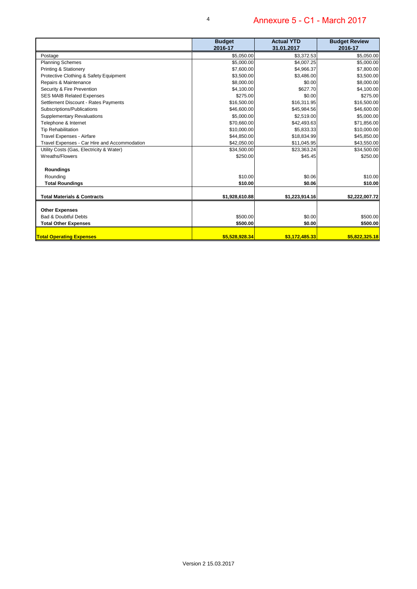|                                              | <b>Budget</b><br>2016-17 | <b>Actual YTD</b><br>31.01.2017 | <b>Budget Review</b><br>2016-17 |
|----------------------------------------------|--------------------------|---------------------------------|---------------------------------|
| Postage                                      | \$5,050.00               | \$3,372.53                      | \$5,050.00                      |
| <b>Planning Schemes</b>                      | \$5,000.00               | \$4.007.25                      | \$5,000.00                      |
| Printing & Stationery                        | \$7,600.00               | \$4,966.37                      | \$7,800.00                      |
| Protective Clothing & Safety Equipment       | \$3,500.00               | \$3,486.00                      | \$3,500.00                      |
| Repairs & Maintenance                        | \$8,000.00               | \$0.00                          | \$8,000.00                      |
| Security & Fire Prevention                   | \$4,100.00               | \$627.70                        | \$4,100.00                      |
| <b>SES MAIB Related Expenses</b>             | \$275.00                 | \$0.00                          | \$275.00                        |
| Settlement Discount - Rates Payments         | \$16,500.00              | \$16,311.95                     | \$16,500.00                     |
| Subscriptions/Publications                   | \$46,600.00              | \$45,984.56                     | \$46,600.00                     |
| <b>Supplementary Revaluations</b>            | \$5,000.00               | \$2,519.00                      | \$5,000.00                      |
| Telephone & Internet                         | \$70,660.00              | \$42,493.63                     | \$71,856.00                     |
| <b>Tip Rehabilitation</b>                    | \$10,000.00              | \$5,833.33                      | \$10,000.00                     |
| Travel Expenses - Airfare                    | \$44,850.00              | \$18,834.99                     | \$45,850.00                     |
| Travel Expenses - Car Hire and Accommodation | \$42,050.00              | \$11,045.95                     | \$43,550.00                     |
| Utility Costs (Gas, Electricity & Water)     | \$34,500.00              | \$23,363.24                     | \$34,500.00                     |
| Wreaths/Flowers                              | \$250.00                 | \$45.45                         | \$250.00                        |
| Roundings                                    |                          |                                 |                                 |
| Rounding                                     | \$10.00                  | \$0.06                          | \$10.00                         |
| <b>Total Roundings</b>                       | \$10.00                  | \$0.06                          | \$10.00                         |
| <b>Total Materials &amp; Contracts</b>       | \$1,928,610.88           | \$1,223,914.16                  | \$2,222,007.72                  |
| <b>Other Expenses</b>                        |                          |                                 |                                 |
| <b>Bad &amp; Doubtful Debts</b>              | \$500.00                 | \$0.00                          | \$500.00                        |
| <b>Total Other Expenses</b>                  | \$500.00                 | \$0.00                          | \$500.00                        |
| <b>Total Operating Expenses</b>              | \$5,528,928,34           | \$3,172,485.33                  | \$5,822,325,18                  |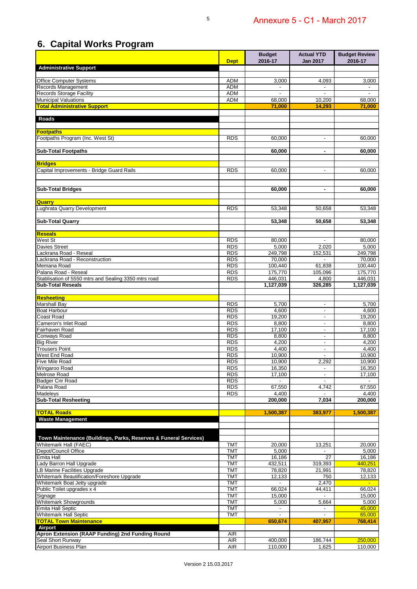## **6. Capital Works Program**

|                                                                    | <b>Dept</b>              | <b>Budget</b><br>2016-17 | <b>Actual YTD</b><br><b>Jan 2017</b>                 | <b>Budget Review</b><br>2016-17 |
|--------------------------------------------------------------------|--------------------------|--------------------------|------------------------------------------------------|---------------------------------|
| <b>Administrative Support</b>                                      |                          |                          |                                                      |                                 |
| Office Computer Systems                                            | <b>ADM</b>               | 3,000                    | 4,093                                                | 3,000                           |
| Records Management                                                 | <b>ADM</b>               |                          | $\overline{a}$                                       |                                 |
| <b>Records Storage Facility</b>                                    | <b>ADM</b>               |                          |                                                      |                                 |
| <b>Municipal Valuations</b>                                        | <b>ADM</b>               | 68,000                   | 10,200                                               | 68,000                          |
| <b>Total Administrative Support</b>                                |                          | 71,000                   | 14,293                                               | 71,000                          |
| Roads                                                              |                          |                          |                                                      |                                 |
| <b>Footpaths</b>                                                   |                          |                          |                                                      |                                 |
| Footpaths Program (Inc. West St)                                   | <b>RDS</b>               | 60,000                   | $\overline{\phantom{a}}$                             | 60,000                          |
| <b>Sub-Total Footpaths</b>                                         |                          | 60.000                   | $\blacksquare$                                       | 60,000                          |
|                                                                    |                          |                          |                                                      |                                 |
| <b>Bridges</b><br>Capital Improvements - Bridge Guard Rails        | <b>RDS</b>               | 60,000                   |                                                      | 60,000                          |
|                                                                    |                          |                          | $\overline{\phantom{a}}$                             |                                 |
| <b>Sub-Total Bridges</b>                                           |                          | 60,000                   | $\blacksquare$                                       | 60.000                          |
|                                                                    |                          |                          |                                                      |                                 |
| Quarry<br>Lughrata Quarry Development                              | <b>RDS</b>               | 53,348                   | 50,658                                               | 53,348                          |
|                                                                    |                          |                          |                                                      |                                 |
| <b>Sub-Total Quarry</b>                                            |                          | 53,348                   | 50.658                                               | 53,348                          |
| <b>Reseals</b>                                                     |                          |                          |                                                      |                                 |
| West St                                                            | <b>RDS</b>               | 80.000                   |                                                      | 80,000                          |
| <b>Davies Street</b>                                               | <b>RDS</b>               | 5,000                    | 2.020                                                | 5,000                           |
| Lackrana Road - Reseal                                             | <b>RDS</b>               | 249,798                  | 152,531                                              | 249,798                         |
| Lackrana Road - Reconstruction                                     | RDS                      | 70,000                   |                                                      | 70,000                          |
| Memana Road<br>Palana Road - Reseal                                | RDS<br><b>RDS</b>        | 100,440<br>175,770       | 61,838<br>105,096                                    | 100,440<br>175,770              |
| Stablisation of 5550 mtrs and Sealing 3350 mtrs road               | <b>RDS</b>               | 446,031                  | 4,800                                                | 446,031                         |
| <b>Sub-Total Reseals</b>                                           |                          | 1,127,039                | 326,285                                              | 1,127,039                       |
| <b>Resheeting</b>                                                  |                          |                          |                                                      |                                 |
| Marshall Bay                                                       | <b>RDS</b>               | 5,700                    | $\overline{\phantom{a}}$                             | 5,700                           |
| Boat Harbour                                                       | RDS                      | 4,600                    | $\overline{\phantom{a}}$                             | 4,600                           |
| Coast Road                                                         | <b>RDS</b>               | 19,200                   | $\blacksquare$                                       | 19,200                          |
| Cameron's Inlet Road                                               | <b>RDS</b>               | 8,800                    | $\overline{\phantom{a}}$                             | 8,800                           |
| Fairhaven Road                                                     | <b>RDS</b><br><b>RDS</b> | 17,100                   | $\overline{\phantom{a}}$                             | 17,100                          |
| Conways Road<br><b>Big River</b>                                   | <b>RDS</b>               | 8,800<br>4,200           | $\overline{\phantom{a}}$<br>$\overline{\phantom{a}}$ | 8,800<br>4,200                  |
| <b>Trousers Point</b>                                              | <b>RDS</b>               | 4,400                    | $\overline{\phantom{a}}$                             | 4,400                           |
| West End Road                                                      | <b>RDS</b>               | 10,900                   | $\blacksquare$                                       | 10,900                          |
| <b>Five Mile Road</b>                                              | <b>RDS</b>               | 10,900                   | 2,292                                                | 10,900                          |
| Wingaroo Road                                                      | <b>RDS</b>               | 16,350                   | $\overline{\phantom{a}}$                             | 16,350                          |
| <b>Melrose Road</b>                                                | <b>RDS</b>               | 17,100                   | $\overline{\phantom{a}}$                             | 17,100                          |
| Badger Cnr Road                                                    | <b>RDS</b>               |                          | $\overline{\phantom{a}}$                             |                                 |
| Palana Road                                                        | <b>RDS</b>               | 67,550                   | 4.742                                                | 67,550                          |
| Madeleys<br><b>Sub-Total Resheeting</b>                            | <b>RDS</b>               | 4,400<br>200,000         | 7.034                                                | 4.400<br>200,000                |
|                                                                    |                          |                          |                                                      |                                 |
| <b>TOTAL Roads</b><br><b>Waste Management</b>                      |                          | 1,500,387                | 383.977                                              | 1,500,387                       |
|                                                                    |                          |                          |                                                      |                                 |
| Town Maintenance (Buildings, Parks, Reserves & Funeral Services)   |                          |                          |                                                      |                                 |
| Whitemark Hall (FAEC)                                              | <b>TMT</b>               | 20,000                   | 13,251                                               | $\overline{20,000}$             |
| Depot/Council Office                                               | <b>TMT</b>               | 5,000                    | $\overline{\phantom{a}}$                             | 5,000                           |
| Emita Hall                                                         | <b>TMT</b>               | 16,186                   | 27                                                   | 16,186                          |
| ady Barron Hall Upgrade                                            | <b>TMT</b>               | 432,511                  | 319,393                                              | 440,251                         |
| LB Marine Facilities Upgrade                                       | <b>TMT</b>               | 78,820                   | 21,991                                               | 78,820                          |
| Whitemark Beautification/Foreshore Upgrade                         | <b>TMT</b><br><b>TMT</b> | 12,133                   | 750<br>2,470                                         | 12,133                          |
| Whitemark Boat Jetty upgrade<br>Public Toilet upgrades x 4         | <b>TMT</b>               | 66,024                   | 44,411                                               | 66,024                          |
| Signage                                                            | <b>TMT</b>               | 15,000                   | $\blacksquare$                                       | 15,000                          |
| Whitemark Showgrounds                                              | <b>TMT</b>               | 5,000                    | 5,664                                                | 5,000                           |
| <b>Emita Hall Septic</b>                                           | <b>TMT</b>               | $\overline{\phantom{a}}$ | $\overline{\phantom{a}}$                             | 45,000                          |
| Whitemark Hall Septic                                              | <b>TMT</b>               |                          | $\overline{a}$                                       | 65,000                          |
| <b>TOTAL Town Maintenance</b>                                      |                          | 650,674                  | 407,957                                              | 768,414                         |
| <b>Airport</b><br>Apron Extension (RAAP Funding) 2nd Funding Round | <b>AIR</b>               |                          |                                                      |                                 |
| Seal Short Runway                                                  | AIR                      | 400,000                  | 186,744                                              | 250,000                         |
| Airport Business Plan                                              | <b>AIR</b>               | 110,000                  | 1,625                                                | 110,000                         |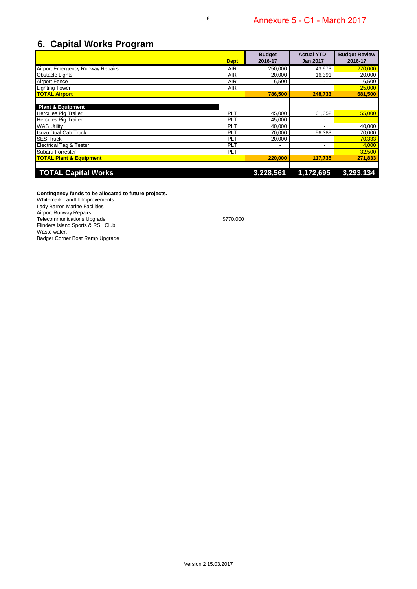### **6. Capital Works Program**

|                                         | <b>Dept</b> | <b>Budget</b><br>2016-17 | <b>Actual YTD</b><br><b>Jan 2017</b> | <b>Budget Review</b><br>2016-17 |
|-----------------------------------------|-------------|--------------------------|--------------------------------------|---------------------------------|
| <b>Airport Emergency Runway Repairs</b> | <b>AIR</b>  | 250,000                  | 43,973                               | 270,000                         |
| <b>Obstacle Lights</b>                  | <b>AIR</b>  | 20,000                   | 16,391                               | 20,000                          |
| <b>Airport Fence</b>                    | <b>AIR</b>  | 6,500                    | $\overline{\phantom{a}}$             | 6,500                           |
| <b>Lighting Tower</b>                   | <b>AIR</b>  |                          | -                                    | 25,000                          |
| <b>TOTAL Airport</b>                    |             | 786,500                  | 248,733                              | 681.500                         |
|                                         |             |                          |                                      |                                 |
| <b>Plant &amp; Equipment</b>            |             |                          |                                      |                                 |
| <b>Hercules Pig Trailer</b>             | <b>PLT</b>  | 45,000                   | 61,352                               | 55,000                          |
| <b>Hercules Pig Trailer</b>             | <b>PLT</b>  | 45,000                   |                                      |                                 |
| <b>W&amp;S Utility</b>                  | <b>PLT</b>  | 40,000                   | ۰                                    | 40,000                          |
| <b>Isuzu Dual Cab Truck</b>             | <b>PLT</b>  | 70,000                   | 56,383                               | 70,000                          |
| <b>SES Truck</b>                        | <b>PLT</b>  | 20,000                   |                                      | 70,333                          |
| <b>Electrical Tag &amp; Tester</b>      | <b>PLT</b>  |                          | -                                    | 4,000                           |
| Subaru Forrester                        | <b>PLT</b>  |                          |                                      | 32,500                          |
| <b>TOTAL Plant &amp; Equipment</b>      |             | 220,000                  | 117.735                              | 271.833                         |
|                                         |             |                          |                                      |                                 |
| <b>TOTAL Capital Works</b>              |             | 3,228,561                | 1,172,695                            | 3,293,134                       |

**Contingency funds to be allocated to future projects.**

Whitemark Landfill Improvements Lady Barron Marine Facilities Airport Runway Repairs Telecommunications Upgrade \$770,000 Flinders Island Sports & RSL Club

Waste water.

Badger Corner Boat Ramp Upgrade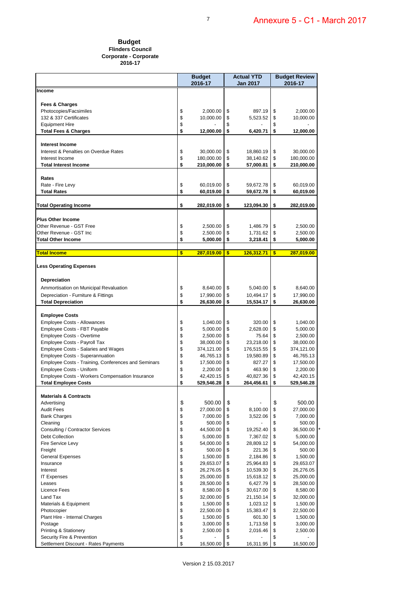#### **Budget Flinders Council Corporate - Corporate 2016-17**

|                                                                                |          | <b>Budget</b><br>2016-17 | <b>Actual YTD</b><br>Jan 2017 |                         | <b>Budget Review</b><br>2016-17 |                         |
|--------------------------------------------------------------------------------|----------|--------------------------|-------------------------------|-------------------------|---------------------------------|-------------------------|
| Income                                                                         |          |                          |                               |                         |                                 |                         |
|                                                                                |          |                          |                               |                         |                                 |                         |
| Fees & Charges                                                                 |          |                          |                               |                         |                                 |                         |
| Photocopies/Facsimiles                                                         | \$       | 2,000.00                 | \$                            | 897.19                  | \$                              | 2,000.00                |
| 132 & 337 Certificates                                                         | \$       | 10,000.00                | \$                            | 5,523.52                | \$<br>\$                        | 10,000.00               |
| <b>Equipment Hire</b><br><b>Total Fees &amp; Charges</b>                       | \$<br>\$ | 12,000.00                | \$<br>\$                      | 6,420.71                | \$                              | 12,000.00               |
|                                                                                |          |                          |                               |                         |                                 |                         |
| Interest Income                                                                |          |                          |                               |                         |                                 |                         |
| Interest & Penalties on Overdue Rates                                          | \$       | 30,000.00                | \$                            | 18,860.19               | \$                              | 30,000.00               |
| Interest Income                                                                | \$       | 180,000.00               | \$                            | 38,140.62               | \$                              | 180,000.00              |
| <b>Total Interest Income</b>                                                   | \$       | 210,000.00               | \$                            | 57,000.81               | \$                              | 210,000.00              |
|                                                                                |          |                          |                               |                         |                                 |                         |
| Rates<br>Rate - Fire Levy                                                      | \$       | 60,019.00                | \$                            | 59,672.78               | \$                              | 60,019.00               |
| <b>Total Rates</b>                                                             | \$       | 60,019.00                | \$                            | 59,672.78               | \$                              | 60,019.00               |
|                                                                                |          |                          |                               |                         |                                 |                         |
| Total Operating Income                                                         | \$       | 282,019.00               | \$                            | 123,094.30              | \$                              | 282,019.00              |
|                                                                                |          |                          |                               |                         |                                 |                         |
| <b>Plus Other Income</b>                                                       |          |                          |                               |                         |                                 |                         |
| Other Revenue - GST Free                                                       | \$       | 2,500.00                 | \$                            | 1,486.79                | \$                              | 2,500.00                |
| Other Revenue - GST Inc                                                        | \$       | 2,500.00                 | \$                            | 1,731.62                | \$                              | 2,500.00                |
| <b>Total Other Income</b>                                                      | \$       | 5,000.00                 | \$                            | 3,218.41                | \$                              | 5,000.00                |
| <b>Total Income</b>                                                            | \$       | 287,019.00               | \$                            | 126,312.71              | \$                              | 287,019.00              |
|                                                                                |          |                          |                               |                         |                                 |                         |
| <b>Less Operating Expenses</b>                                                 |          |                          |                               |                         |                                 |                         |
|                                                                                |          |                          |                               |                         |                                 |                         |
| Depreciation                                                                   |          |                          |                               |                         |                                 |                         |
| Ammortisation on Municipal Revaluation                                         | \$       | 8,640.00                 | \$                            | 5,040.00                | \$                              | 8,640.00                |
| Depreciation - Furniture & Fittings                                            | \$       | 17,990.00                | \$                            | 10,494.17               | \$                              | 17,990.00               |
| <b>Total Depreciation</b>                                                      | \$       | 26,630.00                | \$                            | 15,534.17               | \$                              | 26,630.00               |
| <b>Employee Costs</b>                                                          |          |                          |                               |                         |                                 |                         |
| <b>Employee Costs - Allowances</b>                                             | \$       | 1,040.00                 | \$                            | 320.00                  | \$                              | 1,040.00                |
| Employee Costs - FBT Payable                                                   | \$       | 5,000.00                 | \$                            | 2,628.00                | \$                              | 5,000.00                |
| Employee Costs - Overtime                                                      | \$       | 2,500.00                 | \$                            | 75.64                   | \$                              | 2,500.00                |
| Employee Costs - Payroll Tax                                                   | \$       | 38,000.00                | \$                            | 23,218.00               | \$                              | 38,000.00               |
| Employee Costs - Salaries and Wages                                            | \$       | 374,121.00               | \$                            | 176,515.55              | \$                              | 374,121.00              |
| <b>Employee Costs - Superannuation</b>                                         | \$       | 46,765.13                | \$                            | 19,580.89               | \$                              | 46,765.13               |
| Employee Costs - Training, Conferences and Seminars                            | \$       | 17,500.00                | \$                            | 827.27                  | \$                              | 17,500.00               |
| Employee Costs - Uniform                                                       | \$<br>\$ | 2,200.00                 | \$<br>\$                      | 463.90                  | \$<br>\$                        | 2,200.00                |
| Employee Costs - Workers Compensation Insurance<br><b>Total Employee Costs</b> | \$       | 42,420.15<br>529,546.28  | \$                            | 40,827.36<br>264,456.61 | \$                              | 42,420.15<br>529,546.28 |
|                                                                                |          |                          |                               |                         |                                 |                         |
| <b>Materials &amp; Contracts</b>                                               |          |                          |                               |                         |                                 |                         |
| Advertising                                                                    | \$       | 500.00                   | \$                            |                         | \$                              | 500.00                  |
| <b>Audit Fees</b>                                                              | \$       | 27,000.00                | \$                            | 8,100.00                | \$                              | 27,000.00               |
| <b>Bank Charges</b>                                                            | \$       | 7,000.00                 | \$                            | 3,522.06                | \$                              | 7,000.00                |
| Cleaning                                                                       | \$       | 500.00                   | \$                            |                         | \$                              | 500.00                  |
| Consulting / Contractor Services<br><b>Debt Collection</b>                     | \$<br>\$ | 44,500.00<br>5,000.00    | \$<br>\$                      | 19,252.40<br>7,367.02   | \$<br>\$                        | 36,500.00<br>5,000.00   |
| Fire Service Levy                                                              | \$       | 54,000.00                | \$                            | 28,809.12               | \$                              | 54,000.00               |
| Freight                                                                        | \$       | 500.00                   | \$                            | 221.36                  | \$                              | 500.00                  |
| <b>General Expenses</b>                                                        | \$       | 1,500.00                 | \$                            | 2,184.86                | \$                              | 1,500.00                |
| Insurance                                                                      | \$       | 29,653.07                | \$                            | 25,964.83               | \$                              | 29,653.07               |
| Interest                                                                       | \$       | 26,276.05                | \$                            | 10,539.30               | \$                              | 26,276.05               |
| <b>IT Expenses</b>                                                             | \$       | 25,000.00                | \$                            | 15,618.12               | \$                              | 25,000.00               |
| Leases                                                                         | \$       | 28,500.00                | \$                            | 6,427.79                | \$                              | 28,500.00               |
| Licence Fees<br>Land Tax                                                       | \$<br>\$ | 8,580.00                 | \$                            | 30,617.00               | \$<br>\$                        | 8,580.00                |
| Materials & Equipment                                                          | \$       | 32,000.00<br>1,500.00    | \$<br>\$                      | 21,150.14<br>1,023.12   | \$                              | 32,000.00<br>1,500.00   |
| Photocopier                                                                    | \$       | 22,500.00                | \$                            | 15,383.47               | \$                              | 22,500.00               |
| Plant Hire - Internal Charges                                                  | \$       | 1,500.00                 | \$                            | 601.30                  | \$                              | 1,500.00                |
| Postage                                                                        | \$       | 3,000.00                 | \$                            | 1,713.58                | \$                              | 3,000.00                |
| <b>Printing &amp; Stationery</b>                                               | \$       | 2,500.00                 | \$                            | 2,016.46                | \$                              | 2,500.00                |
| Security Fire & Prevention                                                     | \$       |                          | \$                            |                         | \$                              |                         |
| Settlement Discount - Rates Payments                                           | \$       | 16,500.00                | \$                            | 16,311.95               | \$                              | 16,500.00               |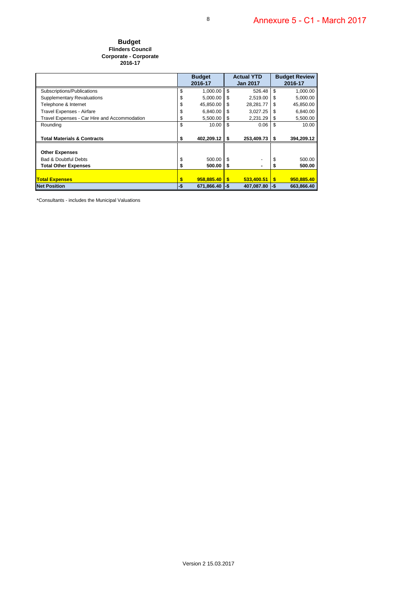#### **Budget Flinders Council Corporate - Corporate 2016-17**

|                                              | <b>Budget</b><br>2016-17 |                  | <b>Actual YTD</b><br><b>Jan 2017</b> |            | <b>Budget Review</b><br>2016-17 |            |
|----------------------------------------------|--------------------------|------------------|--------------------------------------|------------|---------------------------------|------------|
|                                              |                          |                  |                                      |            |                                 |            |
| Subscriptions/Publications                   | \$                       | 1,000.00         | \$                                   | 526.48     | \$                              | 1,000.00   |
| <b>Supplementary Revaluations</b>            | \$                       | 5,000.00         | \$                                   | 2,519.00   | S                               | 5,000.00   |
| Telephone & Internet                         |                          | 45,850.00        | \$                                   | 28,281.77  | \$.                             | 45,850.00  |
| Travel Expenses - Airfare                    | S                        | 6,840.00         | \$                                   | 3,027.25   | S                               | 6,840.00   |
| Travel Expenses - Car Hire and Accommodation | \$                       | 5.500.00         | \$                                   | 2,231.29   | \$                              | 5,500.00   |
| Rounding                                     | \$                       | 10.00            | \$                                   | 0.06       | \$                              | 10.00      |
|                                              |                          |                  |                                      |            |                                 |            |
| <b>Total Materials &amp; Contracts</b>       | S                        | 402,209.12       | \$                                   | 253,409.73 | \$                              | 394,209.12 |
|                                              |                          |                  |                                      |            |                                 |            |
| <b>Other Expenses</b>                        |                          |                  |                                      |            |                                 |            |
| <b>Bad &amp; Doubtful Debts</b>              | \$                       | 500.00           | \$                                   |            | \$                              | 500.00     |
| <b>Total Other Expenses</b>                  | \$                       | 500.00           | S                                    |            |                                 | 500.00     |
|                                              |                          |                  |                                      |            |                                 |            |
| <b>Total Expenses</b>                        | \$                       | 958.885.40       | \$                                   | 533.400.51 | \$                              | 950,885.40 |
| <b>Net Position</b>                          | -\$                      | $671,866.40$ -\$ |                                      | 407,087.80 | ∣-\$                            | 663,866.40 |

\*Consultants - includes the Municipal Valuations